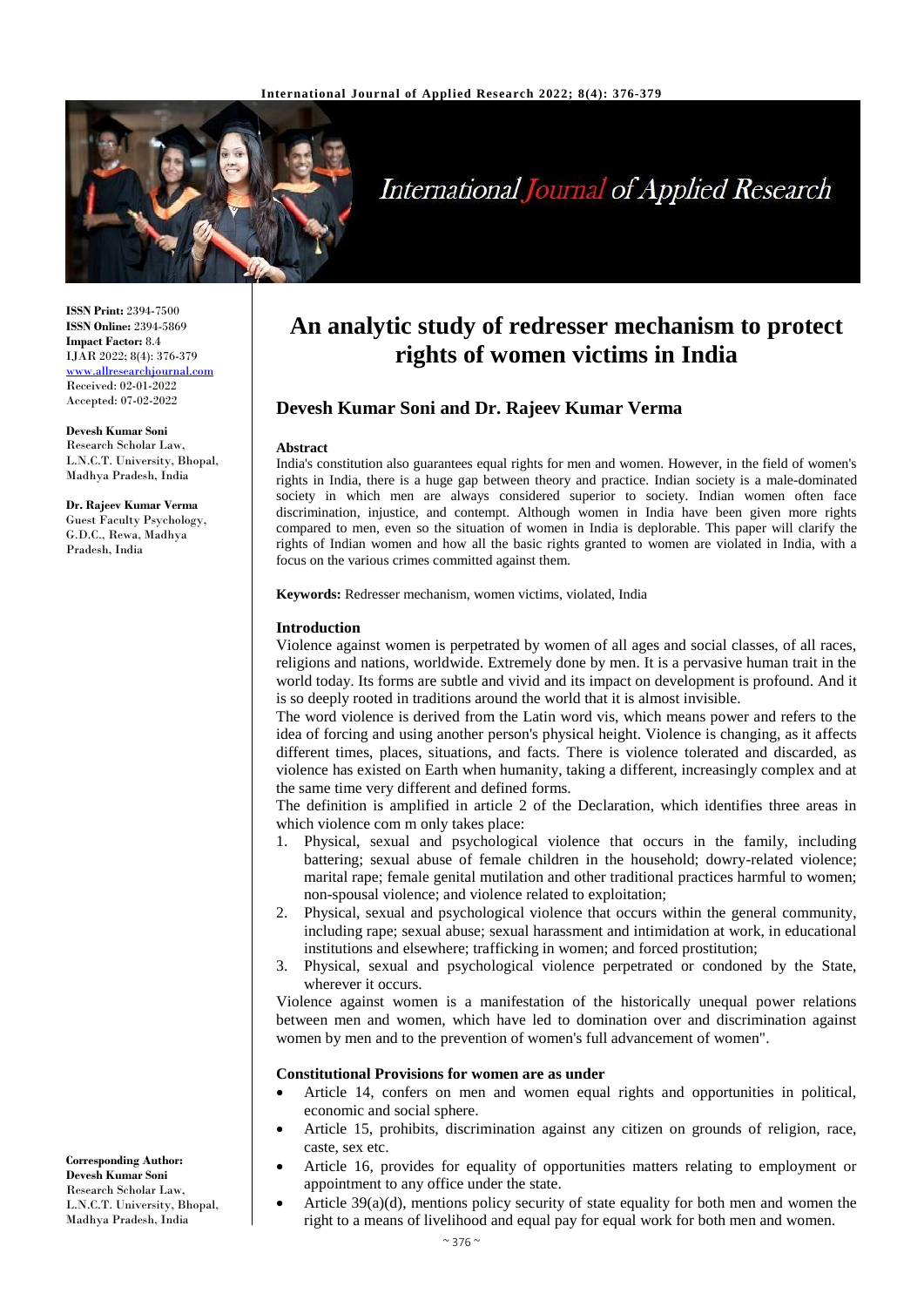

# International Journal of Applied Research

**ISSN Print:** 2394-7500 **ISSN Online:** 2394-5869 **Impact Factor:** 8.4 IJAR 2022; 8(4): 376-379 <www.allresearchjournal.com> Received: 02-01-2022 Accepted: 07-02-2022

**Devesh Kumar Soni** Research Scholar Law, L.N.C.T. University, Bhopal, Madhya Pradesh, India

**Dr. Rajeev Kumar Verma** Guest Faculty Psychology, G.D.C., Rewa, Madhya Pradesh, India

**An analytic study of redresser mechanism to protect rights of women victims in India**

# **Devesh Kumar Soni and Dr. Rajeev Kumar Verma**

#### **Abstract**

India's constitution also guarantees equal rights for men and women. However, in the field of women's rights in India, there is a huge gap between theory and practice. Indian society is a male-dominated society in which men are always considered superior to society. Indian women often face discrimination, injustice, and contempt. Although women in India have been given more rights compared to men, even so the situation of women in India is deplorable. This paper will clarify the rights of Indian women and how all the basic rights granted to women are violated in India, with a focus on the various crimes committed against them.

**Keywords:** Redresser mechanism, women victims, violated, India

### **Introduction**

Violence against women is perpetrated by women of all ages and social classes, of all races, religions and nations, worldwide. Extremely done by men. It is a pervasive human trait in the world today. Its forms are subtle and vivid and its impact on development is profound. And it is so deeply rooted in traditions around the world that it is almost invisible.

The word violence is derived from the Latin word vis, which means power and refers to the idea of forcing and using another person's physical height. Violence is changing, as it affects different times, places, situations, and facts. There is violence tolerated and discarded, as violence has existed on Earth when humanity, taking a different, increasingly complex and at the same time very different and defined forms.

The definition is amplified in article 2 of the Declaration, which identifies three areas in which violence com m only takes place:

- 1. Physical, sexual and psychological violence that occurs in the family, including battering; sexual abuse of female children in the household; dowry-related violence; marital rape; female genital mutilation and other traditional practices harmful to women; non-spousal violence; and violence related to exploitation;
- 2. Physical, sexual and psychological violence that occurs within the general community, including rape; sexual abuse; sexual harassment and intimidation at work, in educational institutions and elsewhere; trafficking in women; and forced prostitution;
- 3. Physical, sexual and psychological violence perpetrated or condoned by the State, wherever it occurs.

Violence against women is a manifestation of the historically unequal power relations between men and women, which have led to domination over and discrimination against women by men and to the prevention of women's full advancement of women".

#### **Constitutional Provisions for women are as under**

- Article 14, confers on men and women equal rights and opportunities in political, economic and social sphere.
- Article 15, prohibits, discrimination against any citizen on grounds of religion, race, caste, sex etc.
- Article 16, provides for equality of opportunities matters relating to employment or appointment to any office under the state.
- Article 39(a)(d), mentions policy security of state equality for both men and women the right to a means of livelihood and equal pay for equal work for both men and women.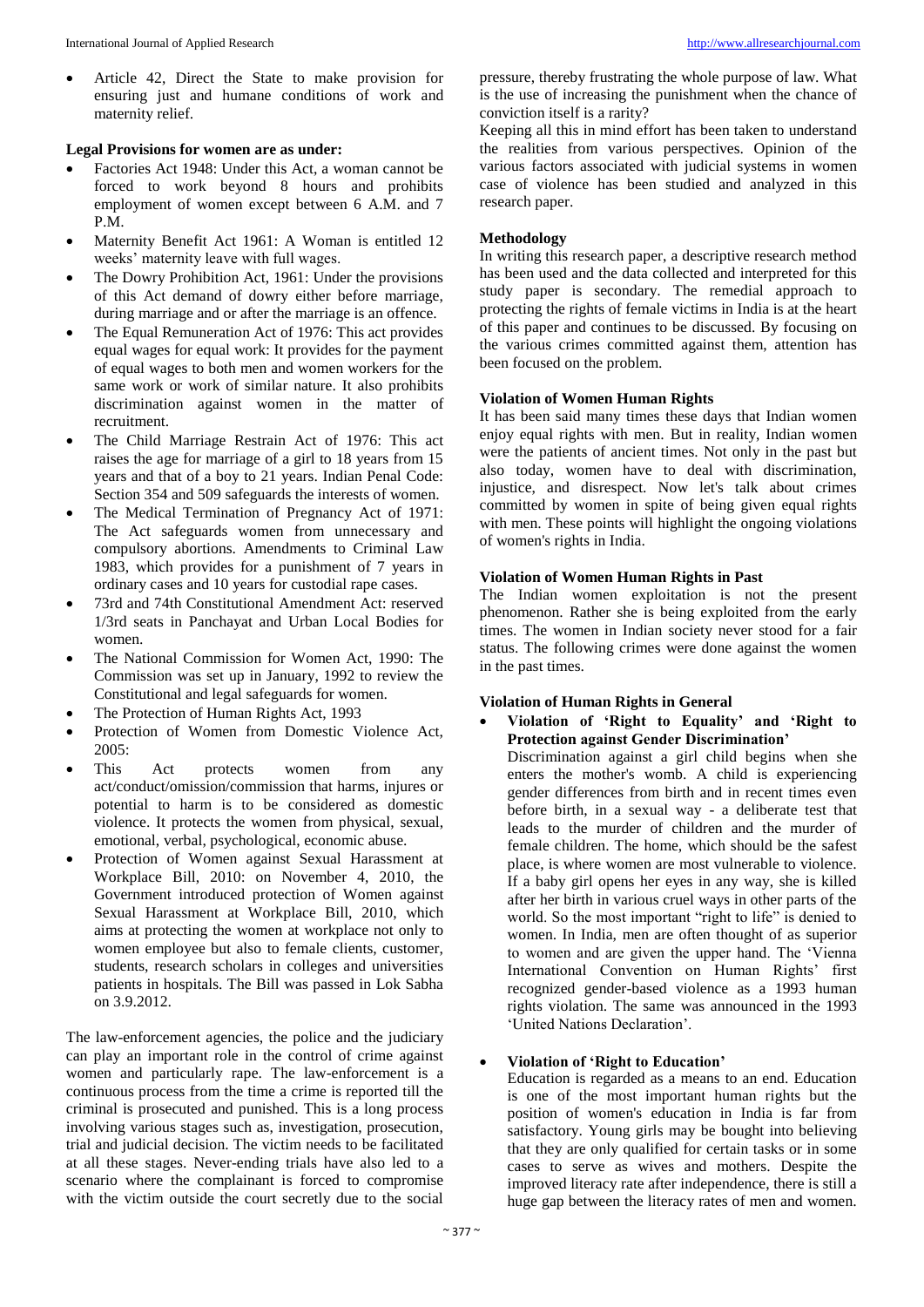Article 42, Direct the State to make provision for ensuring just and humane conditions of work and maternity relief.

## **Legal Provisions for women are as under:**

- Factories Act 1948: Under this Act, a woman cannot be forced to work beyond 8 hours and prohibits employment of women except between 6 A.M. and 7 P.M.
- Maternity Benefit Act 1961: A Woman is entitled 12 weeks' maternity leave with full wages.
- The Dowry Prohibition Act, 1961: Under the provisions of this Act demand of dowry either before marriage, during marriage and or after the marriage is an offence.
- The Equal Remuneration Act of 1976: This act provides equal wages for equal work: It provides for the payment of equal wages to both men and women workers for the same work or work of similar nature. It also prohibits discrimination against women in the matter of recruitment.
- The Child Marriage Restrain Act of 1976: This act raises the age for marriage of a girl to 18 years from 15 years and that of a boy to 21 years. Indian Penal Code: Section 354 and 509 safeguards the interests of women.
- The Medical Termination of Pregnancy Act of 1971: The Act safeguards women from unnecessary and compulsory abortions. Amendments to Criminal Law 1983, which provides for a punishment of 7 years in ordinary cases and 10 years for custodial rape cases.
- 73rd and 74th Constitutional Amendment Act: reserved 1/3rd seats in Panchayat and Urban Local Bodies for women.
- The National Commission for Women Act, 1990: The Commission was set up in January, 1992 to review the Constitutional and legal safeguards for women.
- The Protection of Human Rights Act, 1993
- Protection of Women from Domestic Violence Act, 2005:
- This Act protects women from any act/conduct/omission/commission that harms, injures or potential to harm is to be considered as domestic violence. It protects the women from physical, sexual, emotional, verbal, psychological, economic abuse.
- Protection of Women against Sexual Harassment at Workplace Bill, 2010: on November 4, 2010, the Government introduced protection of Women against Sexual Harassment at Workplace Bill, 2010, which aims at protecting the women at workplace not only to women employee but also to female clients, customer, students, research scholars in colleges and universities patients in hospitals. The Bill was passed in Lok Sabha on 3.9.2012.

The law-enforcement agencies, the police and the judiciary can play an important role in the control of crime against women and particularly rape. The law-enforcement is a continuous process from the time a crime is reported till the criminal is prosecuted and punished. This is a long process involving various stages such as, investigation, prosecution, trial and judicial decision. The victim needs to be facilitated at all these stages. Never-ending trials have also led to a scenario where the complainant is forced to compromise with the victim outside the court secretly due to the social

pressure, thereby frustrating the whole purpose of law. What is the use of increasing the punishment when the chance of conviction itself is a rarity?

Keeping all this in mind effort has been taken to understand the realities from various perspectives. Opinion of the various factors associated with judicial systems in women case of violence has been studied and analyzed in this research paper.

## **Methodology**

In writing this research paper, a descriptive research method has been used and the data collected and interpreted for this study paper is secondary. The remedial approach to protecting the rights of female victims in India is at the heart of this paper and continues to be discussed. By focusing on the various crimes committed against them, attention has been focused on the problem.

## **Violation of Women Human Rights**

It has been said many times these days that Indian women enjoy equal rights with men. But in reality, Indian women were the patients of ancient times. Not only in the past but also today, women have to deal with discrimination, injustice, and disrespect. Now let's talk about crimes committed by women in spite of being given equal rights with men. These points will highlight the ongoing violations of women's rights in India.

# **Violation of Women Human Rights in Past**

The Indian women exploitation is not the present phenomenon. Rather she is being exploited from the early times. The women in Indian society never stood for a fair status. The following crimes were done against the women in the past times.

# **Violation of Human Rights in General**

 **Violation of 'Right to Equality' and 'Right to Protection against Gender Discrimination'**

Discrimination against a girl child begins when she enters the mother's womb. A child is experiencing gender differences from birth and in recent times even before birth, in a sexual way - a deliberate test that leads to the murder of children and the murder of female children. The home, which should be the safest place, is where women are most vulnerable to violence. If a baby girl opens her eyes in any way, she is killed after her birth in various cruel ways in other parts of the world. So the most important "right to life" is denied to women. In India, men are often thought of as superior to women and are given the upper hand. The 'Vienna International Convention on Human Rights' first recognized gender-based violence as a 1993 human rights violation. The same was announced in the 1993 'United Nations Declaration'.

## **Violation of 'Right to Education'**

Education is regarded as a means to an end. Education is one of the most important human rights but the position of women's education in India is far from satisfactory. Young girls may be bought into believing that they are only qualified for certain tasks or in some cases to serve as wives and mothers. Despite the improved literacy rate after independence, there is still a huge gap between the literacy rates of men and women.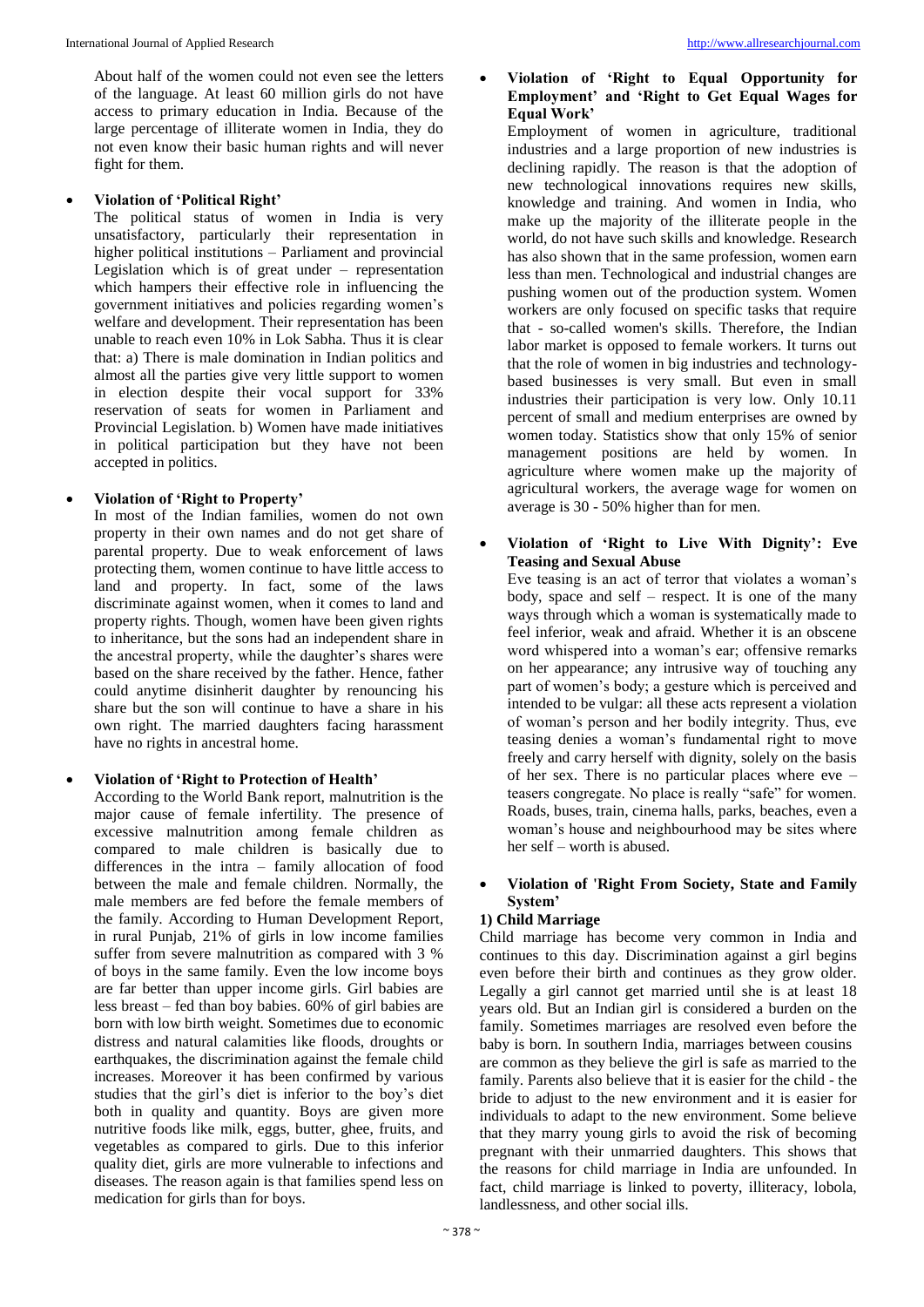About half of the women could not even see the letters of the language. At least 60 million girls do not have access to primary education in India. Because of the large percentage of illiterate women in India, they do not even know their basic human rights and will never fight for them.

### **Violation of 'Political Right'**

The political status of women in India is very unsatisfactory, particularly their representation in higher political institutions – Parliament and provincial Legislation which is of great under  $-$  representation which hampers their effective role in influencing the government initiatives and policies regarding women's welfare and development. Their representation has been unable to reach even 10% in Lok Sabha. Thus it is clear that: a) There is male domination in Indian politics and almost all the parties give very little support to women in election despite their vocal support for 33% reservation of seats for women in Parliament and Provincial Legislation. b) Women have made initiatives in political participation but they have not been accepted in politics.

## **Violation of 'Right to Property'**

In most of the Indian families, women do not own property in their own names and do not get share of parental property. Due to weak enforcement of laws protecting them, women continue to have little access to land and property. In fact, some of the laws discriminate against women, when it comes to land and property rights. Though, women have been given rights to inheritance, but the sons had an independent share in the ancestral property, while the daughter's shares were based on the share received by the father. Hence, father could anytime disinherit daughter by renouncing his share but the son will continue to have a share in his own right. The married daughters facing harassment have no rights in ancestral home.

#### **Violation of 'Right to Protection of Health'**

According to the World Bank report, malnutrition is the major cause of female infertility. The presence of excessive malnutrition among female children as compared to male children is basically due to differences in the intra – family allocation of food between the male and female children. Normally, the male members are fed before the female members of the family. According to Human Development Report, in rural Punjab, 21% of girls in low income families suffer from severe malnutrition as compared with 3 % of boys in the same family. Even the low income boys are far better than upper income girls. Girl babies are less breast – fed than boy babies. 60% of girl babies are born with low birth weight. Sometimes due to economic distress and natural calamities like floods, droughts or earthquakes, the discrimination against the female child increases. Moreover it has been confirmed by various studies that the girl's diet is inferior to the boy's diet both in quality and quantity. Boys are given more nutritive foods like milk, eggs, butter, ghee, fruits, and vegetables as compared to girls. Due to this inferior quality diet, girls are more vulnerable to infections and diseases. The reason again is that families spend less on medication for girls than for boys.

 **Violation of 'Right to Equal Opportunity for Employment' and 'Right to Get Equal Wages for Equal Work'**

Employment of women in agriculture, traditional industries and a large proportion of new industries is declining rapidly. The reason is that the adoption of new technological innovations requires new skills, knowledge and training. And women in India, who make up the majority of the illiterate people in the world, do not have such skills and knowledge. Research has also shown that in the same profession, women earn less than men. Technological and industrial changes are pushing women out of the production system. Women workers are only focused on specific tasks that require that - so-called women's skills. Therefore, the Indian labor market is opposed to female workers. It turns out that the role of women in big industries and technologybased businesses is very small. But even in small industries their participation is very low. Only 10.11 percent of small and medium enterprises are owned by women today. Statistics show that only 15% of senior management positions are held by women. In agriculture where women make up the majority of agricultural workers, the average wage for women on average is 30 - 50% higher than for men.

 **Violation of 'Right to Live With Dignity': Eve Teasing and Sexual Abuse** Eve teasing is an act of terror that violates a woman's body, space and self – respect. It is one of the many ways through which a woman is systematically made to feel inferior, weak and afraid. Whether it is an obscene word whispered into a woman's ear; offensive remarks on her appearance; any intrusive way of touching any part of women's body; a gesture which is perceived and intended to be vulgar: all these acts represent a violation of woman's person and her bodily integrity. Thus, eve teasing denies a woman's fundamental right to move freely and carry herself with dignity, solely on the basis of her sex. There is no particular places where eve – teasers congregate. No place is really "safe" for women. Roads, buses, train, cinema halls, parks, beaches, even a woman's house and neighbourhood may be sites where her self – worth is abused.

## **Violation of 'Right From Society, State and Family System'**

### **1) Child Marriage**

Child marriage has become very common in India and continues to this day. Discrimination against a girl begins even before their birth and continues as they grow older. Legally a girl cannot get married until she is at least 18 years old. But an Indian girl is considered a burden on the family. Sometimes marriages are resolved even before the baby is born. In southern India, marriages between cousins are common as they believe the girl is safe as married to the family. Parents also believe that it is easier for the child - the bride to adjust to the new environment and it is easier for individuals to adapt to the new environment. Some believe that they marry young girls to avoid the risk of becoming pregnant with their unmarried daughters. This shows that the reasons for child marriage in India are unfounded. In fact, child marriage is linked to poverty, illiteracy, lobola, landlessness, and other social ills.